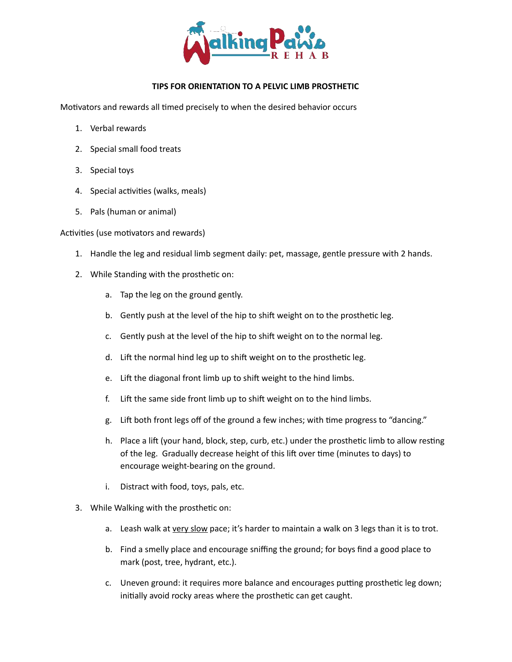

## **TIPS FOR ORIENTATION TO A PELVIC LIMB PROSTHETIC**

Motivators and rewards all timed precisely to when the desired behavior occurs

- 1. Verbal rewards
- 2. Special small food treats
- 3. Special toys
- 4. Special activities (walks, meals)
- 5. Pals (human or animal)

## Activities (use motivators and rewards)

- 1. Handle the leg and residual limb segment daily: pet, massage, gentle pressure with 2 hands.
- 2. While Standing with the prosthetic on:
	- a. Tap the leg on the ground gently.
	- b. Gently push at the level of the hip to shift weight on to the prosthetic leg.
	- c. Gently push at the level of the hip to shift weight on to the normal leg.
	- d. Lift the normal hind leg up to shift weight on to the prosthetic leg.
	- e. Lift the diagonal front limb up to shift weight to the hind limbs.
	- f. Lift the same side front limb up to shift weight on to the hind limbs.
	- g. Lift both front legs off of the ground a few inches; with time progress to "dancing."
	- h. Place a lift (your hand, block, step, curb, etc.) under the prosthetic limb to allow resting of the leg. Gradually decrease height of this lift over time (minutes to days) to encourage weight-bearing on the ground.
	- i. Distract with food, toys, pals, etc.
- 3. While Walking with the prosthetic on:
	- a. Leash walk at very slow pace; it's harder to maintain a walk on 3 legs than it is to trot.
	- b. Find a smelly place and encourage sniffing the ground; for boys find a good place to mark (post, tree, hydrant, etc.).
	- c. Uneven ground: it requires more balance and encourages putting prosthetic leg down; initially avoid rocky areas where the prosthetic can get caught.